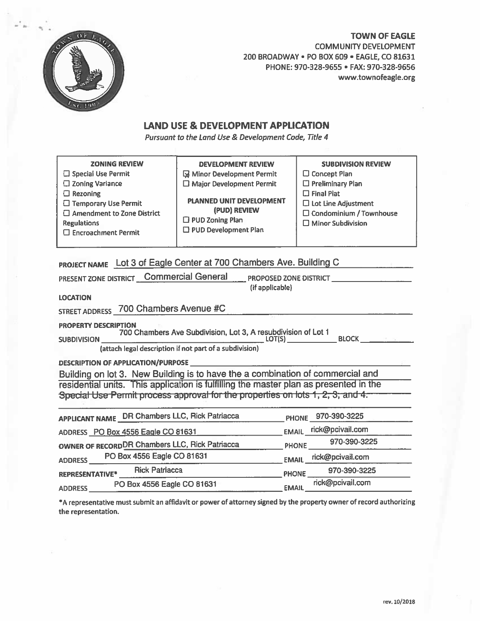

# **TOWN OF EAGLE COMMUNITY DEVELOPMENT** 200 BROADWAY . PO BOX 609 . EAGLE, CO 81631 PHONE: 970-328-9655 · FAX: 970-328-9656 www.townofeagle.org

# **LAND USE & DEVELOPMENT APPLICATION**

Pursuant to the Land Use & Development Code, Title 4

| <b>ZONING REVIEW</b><br>□ Special Use Permit<br>□ Zoning Variance<br>$\Box$ Rezoning<br>□ Temporary Use Permit<br>$\Box$ Amendment to Zone District<br><b>Regulations</b><br>$\square$ Encroachment Permit | <b>DEVELOPMENT REVIEW</b><br>Minor Development Permit<br>$\Box$ Major Development Permit<br><b>PLANNED UNIT DEVELOPMENT</b><br>(PUD) REVIEW<br>$\Box$ PUD Zoning Plan<br>□ PUD Development Plan | <b>SUBDIVISION REVIEW</b><br>$\Box$ Concept Plan<br>□ Preliminary Plan<br>$\square$ Final Plat<br>$\square$ Lot Line Adjustment<br>□ Condominium / Townhouse<br>$\square$ Minor Subdivision |  |
|------------------------------------------------------------------------------------------------------------------------------------------------------------------------------------------------------------|-------------------------------------------------------------------------------------------------------------------------------------------------------------------------------------------------|---------------------------------------------------------------------------------------------------------------------------------------------------------------------------------------------|--|
| <b>LOCATION</b>                                                                                                                                                                                            | PROJECT NAME Lot 3 of Eagle Center at 700 Chambers Ave. Building C<br>PRESENT ZONE DISTRICT Commercial General PROPOSED ZONE DISTRICT<br>(if applicable)                                        |                                                                                                                                                                                             |  |
| STREET ADDRESS 700 Chambers Avenue #C                                                                                                                                                                      |                                                                                                                                                                                                 |                                                                                                                                                                                             |  |
| <b>PROPERTY DESCRIPTION</b>                                                                                                                                                                                | (attach legal description if not part of a subdivision)                                                                                                                                         |                                                                                                                                                                                             |  |
|                                                                                                                                                                                                            |                                                                                                                                                                                                 |                                                                                                                                                                                             |  |
| Building on lot 3. New Building is to have the a combination of commercial and                                                                                                                             |                                                                                                                                                                                                 |                                                                                                                                                                                             |  |
|                                                                                                                                                                                                            | residential units. This application is fulfilling the master plan as presented in the<br>Special Use Permit process approval for the properties on lots 1, 2, 3, and 4.                         |                                                                                                                                                                                             |  |
|                                                                                                                                                                                                            | APPLICANT NAME DR Chambers LLC, Rick Patriacca PHONE 970-390-3225                                                                                                                               |                                                                                                                                                                                             |  |
| ADDRESS PO Box 4556 Eagle CO 81631 EMAIL rick@pcivail.com                                                                                                                                                  |                                                                                                                                                                                                 |                                                                                                                                                                                             |  |
| OWNER OF RECORD <sup>DR</sup> Chambers LLC, Rick Patriacca PHONE 970-390-3225                                                                                                                              |                                                                                                                                                                                                 |                                                                                                                                                                                             |  |
| ADDRESS PO Box 4556 Eagle CO 81631                                                                                                                                                                         |                                                                                                                                                                                                 | EMAIL rick@pcivail.com                                                                                                                                                                      |  |
| REPRESENTATIVE* Rick Patriacca                                                                                                                                                                             |                                                                                                                                                                                                 | PHONE 970-390-3225                                                                                                                                                                          |  |
| ADDRESS PO Box 4556 Eagle CO 81631                                                                                                                                                                         |                                                                                                                                                                                                 | EMAIL rick@pcivail.com                                                                                                                                                                      |  |

\*A representative must submit an affidavit or power of attorney signed by the property owner of record authorizing the representation.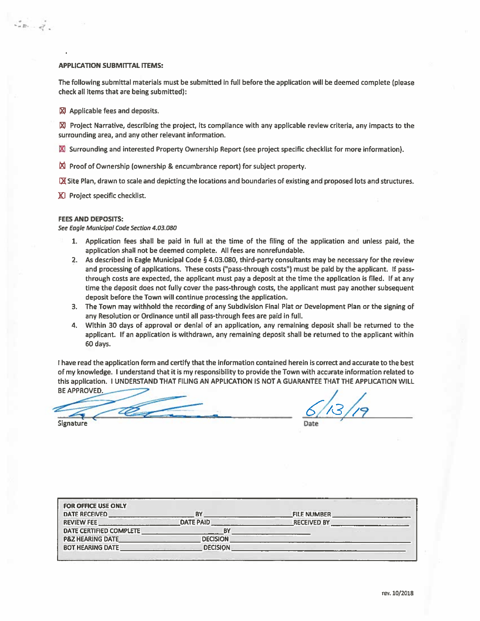## **APPLICATION SUBMITTAL ITEMS:**

 $\zeta_{\sigma B}^{\sigma}$  ,  $\zeta_{\sigma A}^{\sigma}$  ,

The following submittal materials must be submitted in full before the application will be deemed complete (please check all items that are being submitted):

X Applicable fees and deposits.

■ Project Narrative, describing the project, its compliance with any applicable review criteria, any impacts to the surrounding area, and any other relevant information.

XI Surrounding and interested Property Ownership Report (see project specific checklist for more information).

 $\boxtimes$  Proof of Ownership (ownership & encumbrance report) for subject property.

IX Site Plan, drawn to scale and depicting the locations and boundaries of existing and proposed lots and structures.

K Project specific checklist.

### **FEES AND DEPOSITS:**

See Eagle Municipal Code Section 4.03.080

- 1. Application fees shall be paid in full at the time of the filing of the application and unless paid, the application shall not be deemed complete. All fees are nonrefundable.
- 2. As described in Eagle Municipal Code § 4.03.080, third-party consultants may be necessary for the review and processing of applications. These costs ("pass-through costs") must be paid by the applicant. If passthrough costs are expected, the applicant must pay a deposit at the time the application is filed. If at any time the deposit does not fully cover the pass-through costs, the applicant must pay another subsequent deposit before the Town will continue processing the application.
- 3. The Town may withhold the recording of any Subdivision Final Plat or Development Plan or the signing of any Resolution or Ordinance until all pass-through fees are paid in full.
- 4. Within 30 days of approval or denial of an application, any remaining deposit shall be returned to the applicant. If an application is withdrawn, any remaining deposit shall be returned to the applicant within 60 days.

I have read the application form and certify that the information contained herein is correct and accurate to the best of my knowledge. I understand that it is my responsibility to provide the Town with accurate information related to this application. I UNDERSTAND THAT FILING AN APPLICATION IS NOT A GUARANTEE THAT THE APPLICATION WILL **BE APPROVED.** 

**Signature** 

| <b>FOR OFFICE USE ONLY</b><br><b>DATE RECEIVED</b> | <b>BY</b>        | <b>FILE NUMBER</b> |
|----------------------------------------------------|------------------|--------------------|
| <b>REVIEW FEE</b>                                  | <b>DATE PAID</b> | <b>RECEIVED BY</b> |
| DATE CERTIFIED COMPLETE                            | B۱               |                    |
| <b>P&amp;Z HEARING DATE</b>                        | <b>DECISION</b>  |                    |
| <b>BOT HEARING DATE</b>                            | <b>DECISION</b>  |                    |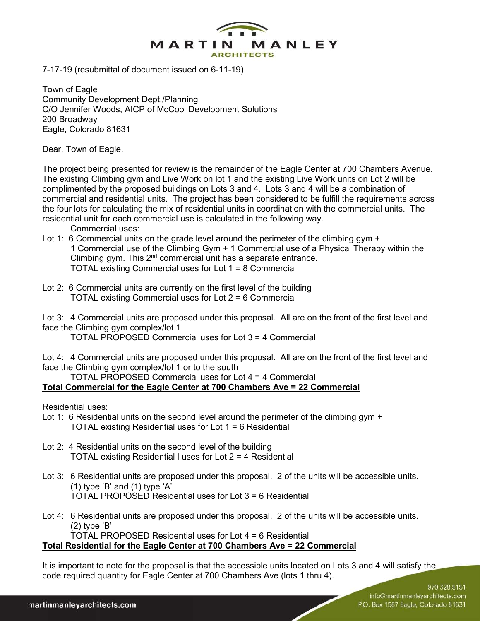

7-17-19 (resubmittal of document issued on 6-11-19)

Town of Eagle Community Development Dept./Planning C/O Jennifer Woods, AICP of McCool Development Solutions 200 Broadway Eagle, Colorado 81631

Dear, Town of Eagle.

The project being presented for review is the remainder of the Eagle Center at 700 Chambers Avenue. The existing Climbing gym and Live Work on lot 1 and the existing Live Work units on Lot 2 will be complimented by the proposed buildings on Lots 3 and 4. Lots 3 and 4 will be a combination of commercial and residential units. The project has been considered to be fulfill the requirements across the four lots for calculating the mix of residential units in coordination with the commercial units. The residential unit for each commercial use is calculated in the following way.

Commercial uses:

- Lot 1: 6 Commercial units on the grade level around the perimeter of the climbing gym + 1 Commercial use of the Climbing Gym + 1 Commercial use of a Physical Therapy within the Climbing gym. This 2<sup>nd</sup> commercial unit has a separate entrance. TOTAL existing Commercial uses for Lot 1 = 8 Commercial
- Lot 2: 6 Commercial units are currently on the first level of the building TOTAL existing Commercial uses for Lot 2 = 6 Commercial

Lot 3: 4 Commercial units are proposed under this proposal. All are on the front of the first level and face the Climbing gym complex/lot 1

TOTAL PROPOSED Commercial uses for Lot 3 = 4 Commercial

Lot 4: 4 Commercial units are proposed under this proposal. All are on the front of the first level and face the Climbing gym complex/lot 1 or to the south

 TOTAL PROPOSED Commercial uses for Lot 4 = 4 Commercial **Total Commercial for the Eagle Center at 700 Chambers Ave = 22 Commercial** 

Residential uses:

- Lot 1: 6 Residential units on the second level around the perimeter of the climbing gym + TOTAL existing Residential uses for Lot 1 = 6 Residential
- Lot 2: 4 Residential units on the second level of the building TOTAL existing Residential l uses for Lot 2 = 4 Residential
- Lot 3: 6 Residential units are proposed under this proposal. 2 of the units will be accessible units.  $(1)$  type 'B' and  $(1)$  type 'A' TOTAL PROPOSED Residential uses for Lot 3 = 6 Residential
- Lot 4: 6 Residential units are proposed under this proposal. 2 of the units will be accessible units. (2) type 'B' TOTAL PROPOSED Residential uses for Lot 4 = 6 Residential

**Total Residential for the Eagle Center at 700 Chambers Ave = 22 Commercial**

It is important to note for the proposal is that the accessible units located on Lots 3 and 4 will satisfy the code required quantity for Eagle Center at 700 Chambers Ave (lots 1 thru 4).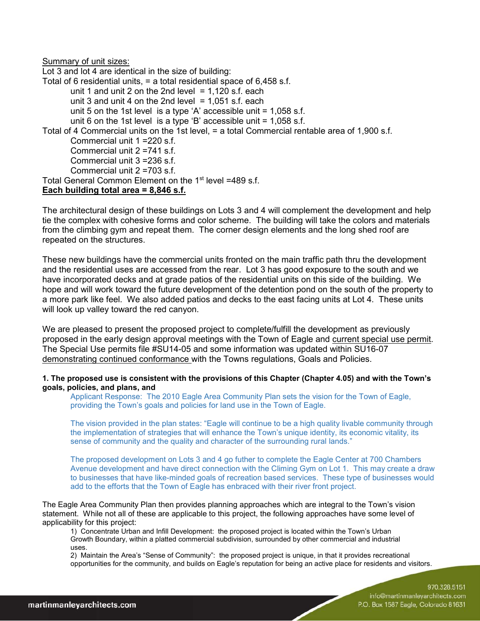Summary of unit sizes:

Lot 3 and lot 4 are identical in the size of building: Total of 6 residential units, = a total residential space of 6,458 s.f. unit 1 and unit 2 on the 2nd level  $= 1,120$  s.f. each unit 3 and unit 4 on the 2nd level  $= 1.051$  s.f. each unit 5 on the 1st level is a type 'A' accessible unit  $= 1,058$  s.f. unit 6 on the 1st level is a type 'B' accessible unit  $= 1,058$  s.f. Total of 4 Commercial units on the 1st level, = a total Commercial rentable area of 1,900 s.f. Commercial unit 1 =220 s.f. Commercial unit 2 =741 s.f. Commercial unit 3 =236 s.f. Commercial unit 2 =703 s.f. Total General Common Element on the 1<sup>st</sup> level =489 s.f. **Each building total area = 8,846 s.f.** 

The architectural design of these buildings on Lots 3 and 4 will complement the development and help tie the complex with cohesive forms and color scheme. The building will take the colors and materials from the climbing gym and repeat them. The corner design elements and the long shed roof are repeated on the structures.

These new buildings have the commercial units fronted on the main traffic path thru the development and the residential uses are accessed from the rear. Lot 3 has good exposure to the south and we have incorporated decks and at grade patios of the residential units on this side of the building. We hope and will work toward the future development of the detention pond on the south of the property to a more park like feel. We also added patios and decks to the east facing units at Lot 4. These units will look up valley toward the red canyon.

We are pleased to present the proposed project to complete/fulfill the development as previously proposed in the early design approval meetings with the Town of Eagle and current special use permit. The Special Use permits file #SU14-05 and some information was updated within SU16-07 demonstrating continued conformance with the Towns regulations, Goals and Policies.

# **1. The proposed use is consistent with the provisions of this Chapter (Chapter 4.05) and with the Town's goals, policies, and plans, and**

Applicant Response: The 2010 Eagle Area Community Plan sets the vision for the Town of Eagle, providing the Town's goals and policies for land use in the Town of Eagle.

The vision provided in the plan states: "Eagle will continue to be a high quality livable community through the implementation of strategies that will enhance the Town's unique identity, its economic vitality, its sense of community and the quality and character of the surrounding rural lands."

The proposed development on Lots 3 and 4 go futher to complete the Eagle Center at 700 Chambers Avenue development and have direct connection with the Climing Gym on Lot 1. This may create a draw to businesses that have like-minded goals of recreation based services. These type of businesses would add to the efforts that the Town of Eagle has enbraced with their river front project.

The Eagle Area Community Plan then provides planning approaches which are integral to the Town's vision statement. While not all of these are applicable to this project, the following approaches have some level of applicability for this project:

1) Concentrate Urban and Infill Development: the proposed project is located within the Town's Urban Growth Boundary, within a platted commercial subdivision, surrounded by other commercial and industrial uses.

2) Maintain the Area's "Sense of Community": the proposed project is unique, in that it provides recreational opportunities for the community, and builds on Eagle's reputation for being an active place for residents and visitors.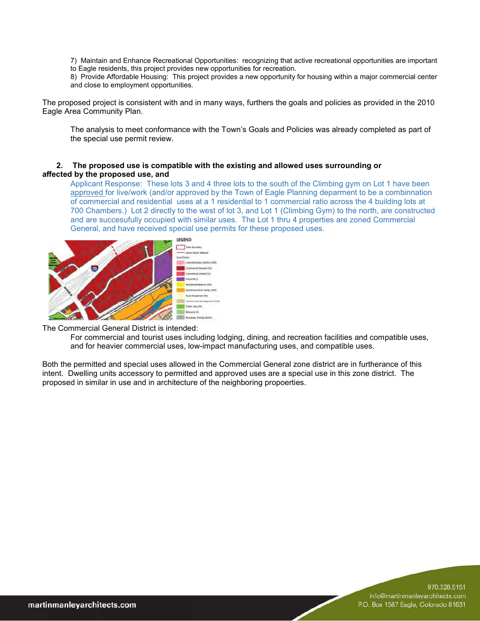7) Maintain and Enhance Recreational Opportunities: recognizing that active recreational opportunities are important to Eagle residents, this project provides new opportunities for recreation.

8) Provide Affordable Housing: This project provides a new opportunity for housing within a major commercial center and close to employment opportunities.

The proposed project is consistent with and in many ways, furthers the goals and policies as provided in the 2010 Eagle Area Community Plan.

The analysis to meet conformance with the Town's Goals and Policies was already completed as part of the special use permit review.

# **2. The proposed use is compatible with the existing and allowed uses surrounding or affected by the proposed use, and**

Applicant Response: These lots 3 and 4 three lots to the south of the Climbing gym on Lot 1 have been approved for live/work (and/or approved by the Town of Eagle Planning deparment to be a combinnation of commercial and residential uses at a 1 residential to 1 commercial ratio across the 4 building lots at 700 Chambers.) Lot 2 directly to the west of lot 3, and Lot 1 (Climbing Gym) to the north, are constructed and are succesufully occupied with similar uses. The Lot 1 thru 4 properties are zoned Commercial General, and have received special use permits for these proposed uses.



The Commercial General District is intended:

For commercial and tourist uses including lodging, dining, and recreation facilities and compatible uses, and for heavier commercial uses, low-impact manufacturing uses, and compatible uses.

Both the permitted and special uses allowed in the Commercial General zone district are in furtherance of this intent. Dwelling units accessory to permitted and approved uses are a special use in this zone district. The proposed in similar in use and in architecture of the neighboring propoerties.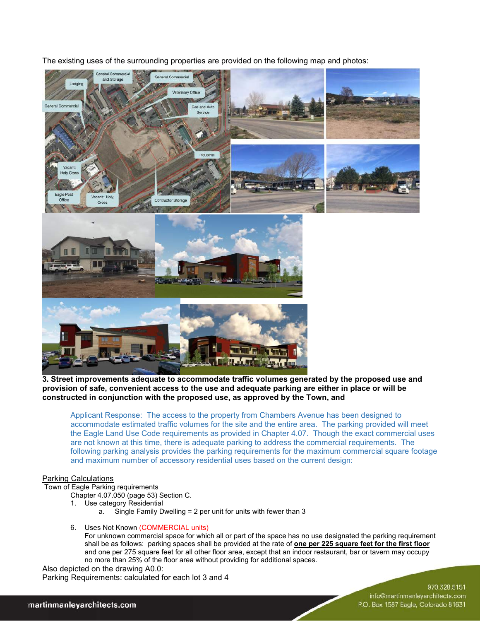The existing uses of the surrounding properties are provided on the following map and photos:



**3. Street improvements adequate to accommodate traffic volumes generated by the proposed use and provision of safe, convenient access to the use and adequate parking are either in place or will be constructed in conjunction with the proposed use, as approved by the Town, and** 

Applicant Response: The access to the property from Chambers Avenue has been designed to accommodate estimated traffic volumes for the site and the entire area. The parking provided will meet the Eagle Land Use Code requirements as provided in Chapter 4.07. Though the exact commercial uses are not known at this time, there is adequate parking to address the commercial requirements. The following parking analysis provides the parking requirements for the maximum commercial square footage and maximum number of accessory residential uses based on the current design:

# Parking Calculations

Town of Eagle Parking requirements

Chapter 4.07.050 (page 53) Section C.

- 1. Use category Residential
	- a. Single Family Dwelling = 2 per unit for units with fewer than 3
- 6. Uses Not Known (COMMERCIAL units)

For unknown commercial space for which all or part of the space has no use designated the parking requirement shall be as follows: parking spaces shall be provided at the rate of **one per 225 square feet for the first floor** and one per 275 square feet for all other floor area, except that an indoor restaurant, bar or tavern may occupy no more than 25% of the floor area without providing for additional spaces.

Also depicted on the drawing A0.0: Parking Requirements: calculated for each lot 3 and 4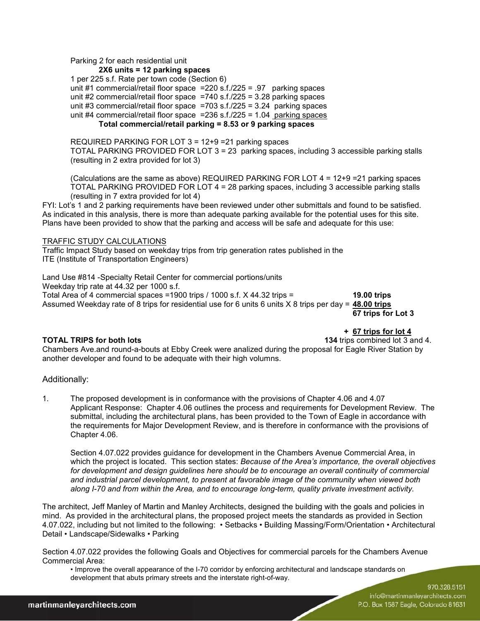Parking 2 for each residential unit

**2X6 units = 12 parking spaces**

 1 per 225 s.f. Rate per town code (Section 6) unit #1 commercial/retail floor space =220 s.f./225 = .97 parking spaces unit  $#2$  commercial/retail floor space  $=740$  s.f./225 = 3.28 parking spaces unit #3 commercial/retail floor space  $=703$  s.f./225 = 3.24 parking spaces unit  $#4$  commercial/retail floor space = 236 s.f./225 = 1.04 parking spaces

# **Total commercial/retail parking = 8.53 or 9 parking spaces**

REQUIRED PARKING FOR LOT 3 = 12+9 =21 parking spaces TOTAL PARKING PROVIDED FOR LOT 3 = 23 parking spaces, including 3 accessible parking stalls (resulting in 2 extra provided for lot 3)

(Calculations are the same as above) REQUIRED PARKING FOR LOT 4 = 12+9 =21 parking spaces TOTAL PARKING PROVIDED FOR LOT 4 = 28 parking spaces, including 3 accessible parking stalls (resulting in 7 extra provided for lot 4)

FYI: Lot's 1 and 2 parking requirements have been reviewed under other submittals and found to be satisfied. As indicated in this analysis, there is more than adequate parking available for the potential uses for this site. Plans have been provided to show that the parking and access will be safe and adequate for this use:

# TRAFFIC STUDY CALCULATIONS

Traffic Impact Study based on weekday trips from trip generation rates published in the ITE (Institute of Transportation Engineers)

Land Use #814 -Specialty Retail Center for commercial portions/units

Weekday trip rate at 44.32 per 1000 s.f.

Total Area of 4 commercial spaces =1900 trips / 1000 s.f. X 44.32 trips = **19.00 trips** Assumed Weekday rate of 8 trips for residential use for 6 units 6 units X 8 trips per day = **48.00 trips 67 trips for Lot 3** 

 **+ 67 trips for lot 4**  $\overline{67}$  **+ 67 trips for lot 4**<br>TOTAL TRIPS for both lots **and the set of the set of the set of the set of the set of the set of the set of the s 134** trips combined lot 3 and 4.

Chambers Ave.and round-a-bouts at Ebby Creek were analized during the proposal for Eagle River Station by another developer and found to be adequate with their high volumns.

# Additionally:

1. The proposed development is in conformance with the provisions of Chapter 4.06 and 4.07 Applicant Response: Chapter 4.06 outlines the process and requirements for Development Review. The submittal, including the architectural plans, has been provided to the Town of Eagle in accordance with the requirements for Major Development Review, and is therefore in conformance with the provisions of Chapter 4.06.

Section 4.07.022 provides guidance for development in the Chambers Avenue Commercial Area, in which the project is located. This section states: *Because of the Area's importance, the overall objectives*  for development and design guidelines here should be to encourage an overall continuity of commercial *and industrial parcel development, to present at favorable image of the community when viewed both along I-70 and from within the Area, and to encourage long-term, quality private investment activity.*

The architect, Jeff Manley of Martin and Manley Architects, designed the building with the goals and policies in mind. As provided in the architectural plans, the proposed project meets the standards as provided in Section 4.07.022, including but not limited to the following: • Setbacks • Building Massing/Form/Orientation • Architectural Detail • Landscape/Sidewalks • Parking

Section 4.07.022 provides the following Goals and Objectives for commercial parcels for the Chambers Avenue Commercial Area:

• Improve the overall appearance of the I-70 corridor by enforcing architectural and landscape standards on development that abuts primary streets and the interstate right-of-way.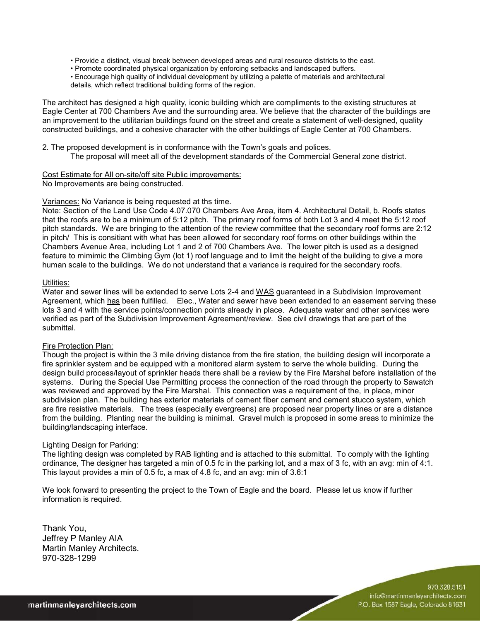- Provide a distinct, visual break between developed areas and rural resource districts to the east.
- Promote coordinated physical organization by enforcing setbacks and landscaped buffers.
- Encourage high quality of individual development by utilizing a palette of materials and architectural details, which reflect traditional building forms of the region.

The architect has designed a high quality, iconic building which are compliments to the existing structures at Eagle Center at 700 Chambers Ave and the surrounding area. We believe that the character of the buildings are an improvement to the utilitarian buildings found on the street and create a statement of well-designed, quality constructed buildings, and a cohesive character with the other buildings of Eagle Center at 700 Chambers.

2. The proposed development is in conformance with the Town's goals and polices. The proposal will meet all of the development standards of the Commercial General zone district.

## Cost Estimate for All on-site/off site Public improvements:

No Improvements are being constructed.

## Variances: No Variance is being requested at ths time.

Note: Section of the Land Use Code 4.07.070 Chambers Ave Area, item 4. Architectural Detail, b. Roofs states that the roofs are to be a minimum of 5:12 pitch. The primary roof forms of both Lot 3 and 4 meet the 5:12 roof pitch standards. We are bringing to the attention of the review committee that the secondary roof forms are 2:12 in pitch/ This is consitiant with what has been allowed for secondary roof forms on other buildings within the Chambers Avenue Area, including Lot 1 and 2 of 700 Chambers Ave. The lower pitch is used as a designed feature to mimimic the Climbing Gym (lot 1) roof language and to limit the height of the building to give a more human scale to the buildings. We do not understand that a variance is required for the secondary roofs.

### Utilities:

Water and sewer lines will be extended to serve Lots 2-4 and WAS guaranteed in a Subdivision Improvement Agreement, which has been fulfilled. Elec., Water and sewer have been extended to an easement serving these lots 3 and 4 with the service points/connection points already in place. Adequate water and other services were verified as part of the Subdivision Improvement Agreement/review. See civil drawings that are part of the submittal.

### Fire Protection Plan:

Though the project is within the 3 mile driving distance from the fire station, the building design will incorporate a fire sprinkler system and be equipped with a monitored alarm system to serve the whole building. During the design build process/layout of sprinkler heads there shall be a review by the Fire Marshal before installation of the systems. During the Special Use Permitting process the connection of the road through the property to Sawatch was reviewed and approved by the Fire Marshal. This connection was a requirement of the, in place, minor subdivision plan. The building has exterior materials of cement fiber cement and cement stucco system, which are fire resistive materials. The trees (especially evergreens) are proposed near property lines or are a distance from the building. Planting near the building is minimal. Gravel mulch is proposed in some areas to minimize the building/landscaping interface.

### Lighting Design for Parking:

The lighting design was completed by RAB lighting and is attached to this submittal. To comply with the lighting ordinance, The designer has targeted a min of 0.5 fc in the parking lot, and a max of 3 fc, with an avg: min of 4:1. This layout provides a min of 0.5 fc, a max of 4.8 fc, and an avg: min of 3.6:1

We look forward to presenting the project to the Town of Eagle and the board. Please let us know if further information is required.

Thank You, Jeffrey P Manley AIA Martin Manley Architects. 970-328-1299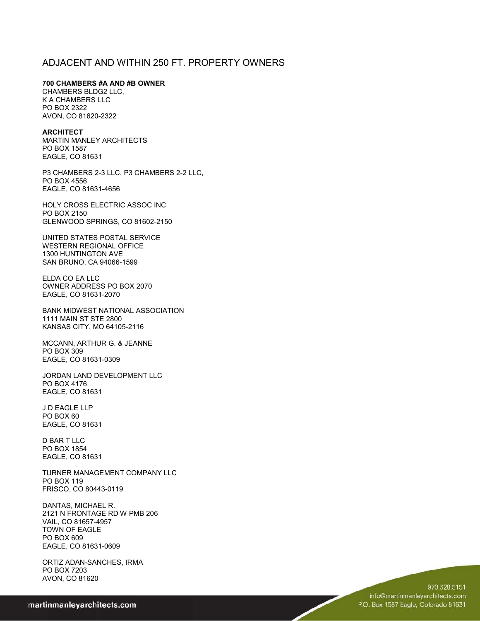# ADJACENT AND WITHIN 250 FT. PROPERTY OWNERS

**700 CHAMBERS #A AND #B OWNER**

CHAMBERS BLDG2 LLC, K A CHAMBERS LLC PO BOX 2322 AVON, CO 81620-2322

### **ARCHITECT**

MARTIN MANLEY ARCHITECTS PO BOX 1587 EAGLE, CO 81631

P3 CHAMBERS 2-3 LLC, P3 CHAMBERS 2-2 LLC, PO BOX 4556 EAGLE, CO 81631-4656

HOLY CROSS ELECTRIC ASSOC INC PO BOX 2150 GLENWOOD SPRINGS, CO 81602-2150

UNITED STATES POSTAL SERVICE WESTERN REGIONAL OFFICE 1300 HUNTINGTON AVE SAN BRUNO, CA 94066-1599

ELDA CO EA LLC OWNER ADDRESS PO BOX 2070 EAGLE, CO 81631-2070

BANK MIDWEST NATIONAL ASSOCIATION 1111 MAIN ST STE 2800 KANSAS CITY, MO 64105-2116

MCCANN, ARTHUR G. & JEANNE PO BOX 309 EAGLE, CO 81631-0309

JORDAN LAND DEVELOPMENT LLC PO BOX 4176 EAGLE, CO 81631

J D EAGLE LLP PO BOX 60 EAGLE, CO 81631

D BAR T LLC PO BOX 1854 EAGLE, CO 81631

TURNER MANAGEMENT COMPANY LLC PO BOX 119 FRISCO, CO 80443-0119

DANTAS, MICHAEL R. 2121 N FRONTAGE RD W PMB 206 VAIL, CO 81657-4957 TOWN OF EAGLE PO BOX 609 EAGLE, CO 81631-0609

ORTIZ ADAN-SANCHES, IRMA PO BOX 7203 AVON, CO 81620